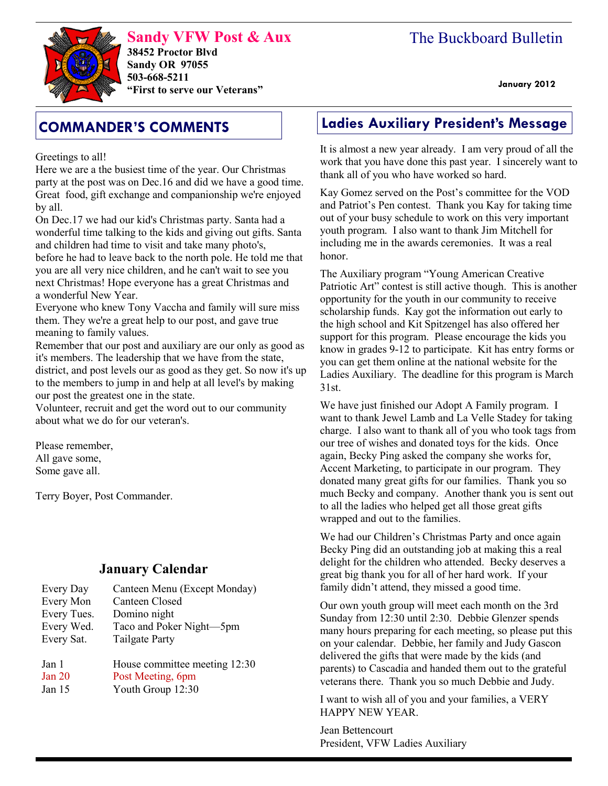# The Buckboard Bulletin

**Sandy VFW Post & Aux 38452 Proctor Blvd Sandy OR 97055 503-668-5211 "First to serve our Veterans" January 2012** 

Greetings to all!

Here we are a the busiest time of the year. Our Christmas party at the post was on Dec.16 and did we have a good time. Great food, gift exchange and companionship we're enjoyed by all.

On Dec.17 we had our kid's Christmas party. Santa had a wonderful time talking to the kids and giving out gifts. Santa and children had time to visit and take many photo's, before he had to leave back to the north pole. He told me that you are all very nice children, and he can't wait to see you next Christmas! Hope everyone has a great Christmas and a wonderful New Year.

Everyone who knew Tony Vaccha and family will sure miss them. They we're a great help to our post, and gave true meaning to family values.

Remember that our post and auxiliary are our only as good as it's members. The leadership that we have from the state, district, and post levels our as good as they get. So now it's up to the members to jump in and help at all level's by making our post the greatest one in the state.

Volunteer, recruit and get the word out to our community about what we do for our veteran's.

Please remember, All gave some, Some gave all.

Terry Boyer, Post Commander.

## **January Calendar**

| Every Day   | Canteen Menu (Except Monday)  |
|-------------|-------------------------------|
| Every Mon   | <b>Canteen Closed</b>         |
| Every Tues. | Domino night                  |
| Every Wed.  | Taco and Poker Night-5pm      |
| Every Sat.  | <b>Tailgate Party</b>         |
| Jan 1       | House committee meeting 12:30 |
| Jan 20      | Post Meeting, 6pm             |
| Jan 15      | Youth Group 12:30             |

# **COMMANDER'S COMMENTS Ladies Auxiliary President's Message**

It is almost a new year already. I am very proud of all the work that you have done this past year. I sincerely want to thank all of you who have worked so hard.

Kay Gomez served on the Post's committee for the VOD and Patriot's Pen contest. Thank you Kay for taking time out of your busy schedule to work on this very important youth program. I also want to thank Jim Mitchell for including me in the awards ceremonies. It was a real honor.

The Auxiliary program "Young American Creative Patriotic Art" contest is still active though. This is another opportunity for the youth in our community to receive scholarship funds. Kay got the information out early to the high school and Kit Spitzengel has also offered her support for this program. Please encourage the kids you know in grades 9-12 to participate. Kit has entry forms or you can get them online at the national website for the Ladies Auxiliary. The deadline for this program is March 31st.

We have just finished our Adopt A Family program. I want to thank Jewel Lamb and La Velle Stadey for taking charge. I also want to thank all of you who took tags from our tree of wishes and donated toys for the kids. Once again, Becky Ping asked the company she works for, Accent Marketing, to participate in our program. They donated many great gifts for our families. Thank you so much Becky and company. Another thank you is sent out to all the ladies who helped get all those great gifts wrapped and out to the families.

We had our Children's Christmas Party and once again Becky Ping did an outstanding job at making this a real delight for the children who attended. Becky deserves a great big thank you for all of her hard work. If your family didn't attend, they missed a good time.

Our own youth group will meet each month on the 3rd Sunday from 12:30 until 2:30. Debbie Glenzer spends many hours preparing for each meeting, so please put this on your calendar. Debbie, her family and Judy Gascon delivered the gifts that were made by the kids (and parents) to Cascadia and handed them out to the grateful veterans there. Thank you so much Debbie and Judy.

I want to wish all of you and your families, a VERY HAPPY NEW YEAR.

Jean Bettencourt President, VFW Ladies Auxiliary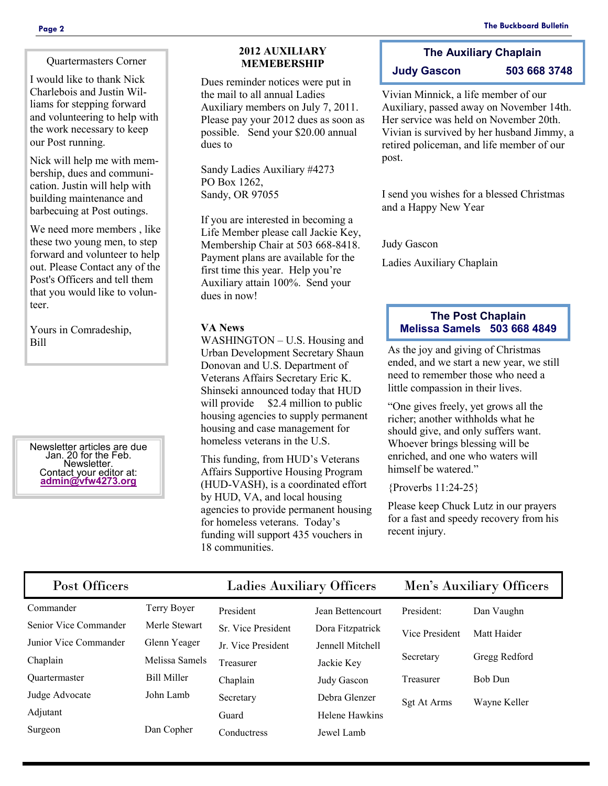Quartermasters Corner

I would like to thank Nick Charlebois and Justin Williams for stepping forward and volunteering to help with the work necessary to keep our Post running.

Nick will help me with membership, dues and communication. Justin will help with building maintenance and barbecuing at Post outings.

We need more members , like these two young men, to step forward and volunteer to help out. Please Contact any of the Post's Officers and tell them that you would like to volunteer.

Yours in Comradeship, Bill

Newsletter articles are due Jan. 20 for the Feb. Newsletter. Contact your editor at: **[admin@vfw4273.org](mailto:admin@vfw4273.org)**

## **2012 AUXILIARY MEMEBERSHIP**

Dues reminder notices were put in the mail to all annual Ladies Auxiliary members on July 7, 2011. Please pay your 2012 dues as soon as possible. Send your \$20.00 annual dues to

Sandy Ladies Auxiliary #4273 PO Box 1262, Sandy, OR 97055

If you are interested in becoming a Life Member please call Jackie Key, Membership Chair at 503 668-8418. Payment plans are available for the first time this year. Help you're Auxiliary attain 100%. Send your dues in now!

WASHINGTON – U.S. Housing and Urban Development Secretary Shaun Donovan and U.S. Department of Veterans Affairs Secretary Eric K. Shinseki announced today that HUD will provide \$2.4 million to public housing agencies to supply permanent housing and case management for homeless veterans in the U.S.

This funding, from HUD's Veterans Affairs Supportive Housing Program (HUD-VASH), is a coordinated effort by HUD, VA, and local housing agencies to provide permanent housing for homeless veterans. Today's funding will support 435 vouchers in 18 communities.

## **The Auxiliary Chaplain Judy Gascon 503 668 3748**

Vivian Minnick, a life member of our Auxiliary, passed away on November 14th. Her service was held on November 20th. Vivian is survived by her husband Jimmy, a retired policeman, and life member of our post.

I send you wishes for a blessed Christmas and a Happy New Year

Judy Gascon

Ladies Auxiliary Chaplain

## **The Post Chaplain VA News Melissa Samels 503 668 4849**

As the joy and giving of Christmas ended, and we start a new year, we still need to remember those who need a little compassion in their lives.

"One gives freely, yet grows all the richer; another withholds what he should give, and only suffers want. Whoever brings blessing will be enriched, and one who waters will himself be watered."

{Proverbs 11:24-25}

Please keep Chuck Lutz in our prayers for a fast and speedy recovery from his recent injury.

| Post Officers         |                | <b>Ladies Auxiliary Officers</b> |                  | Men's Auxiliary Officers |                |
|-----------------------|----------------|----------------------------------|------------------|--------------------------|----------------|
| Commander             | Terry Boyer    | President                        | Jean Bettencourt | President:               | Dan Vaughn     |
| Senior Vice Commander | Merle Stewart  | Sr. Vice President               | Dora Fitzpatrick | Vice President           | Matt Haider    |
| Junior Vice Commander | Glenn Yeager   | Jr. Vice President               | Jennell Mitchell |                          |                |
| Chaplain              | Melissa Samels | Treasurer                        | Jackie Key       | Secretary                | Gregg Redford  |
| <b>Ouartermaster</b>  | Bill Miller    | Chaplain                         | Judy Gascon      | Treasurer                | <b>Bob Dun</b> |
| Judge Advocate        | John Lamb      | Secretary                        | Debra Glenzer    | Sgt At Arms              | Wayne Keller   |
| Adjutant              |                | Guard                            | Helene Hawkins   |                          |                |
| Surgeon               | Dan Copher     | Conductress                      | Jewel Lamb       |                          |                |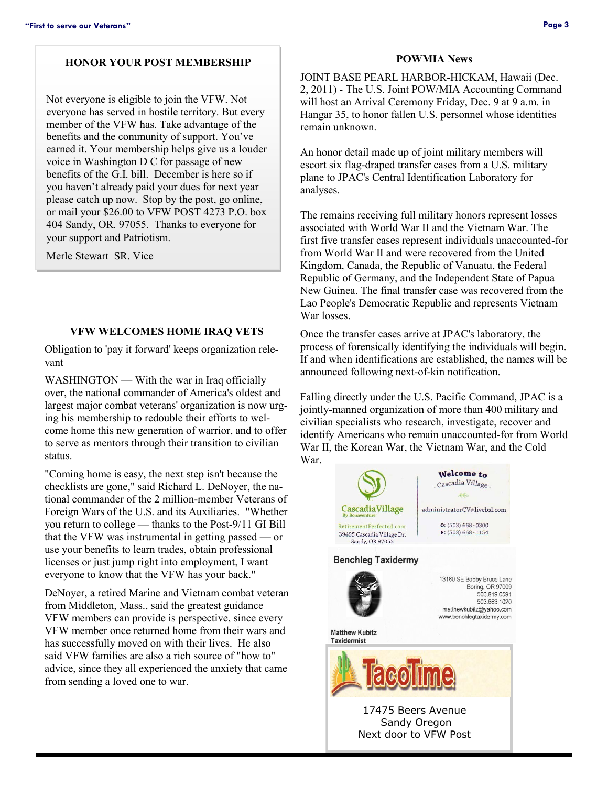## **HONOR YOUR POST MEMBERSHIP**

Not everyone is eligible to join the VFW. Not everyone has served in hostile territory. But every member of the VFW has. Take advantage of the benefits and the community of support. You've earned it. Your membership helps give us a louder voice in Washington D C for passage of new benefits of the G.I. bill. December is here so if you haven't already paid your dues for next year please catch up now. Stop by the post, go online, or mail your \$26.00 to VFW POST 4273 P.O. box 404 Sandy, OR. 97055. Thanks to everyone for your support and Patriotism.

Merle Stewart SR. Vice

### **VFW WELCOMES HOME IRAQ VETS**

Obligation to 'pay it forward' keeps organization relevant

WASHINGTON — With the war in Iraq officially over, the national commander of America's oldest and largest major combat veterans' organization is now urging his membership to redouble their efforts to welcome home this new generation of warrior, and to offer to serve as mentors through their transition to civilian status.

"Coming home is easy, the next step isn't because the checklists are gone," said Richard L. DeNoyer, the national commander of the 2 million-member Veterans of Foreign Wars of the U.S. and its Auxiliaries. "Whether you return to college — thanks to the Post-9/11 GI Bill that the VFW was instrumental in getting passed — or use your benefits to learn trades, obtain professional licenses or just jump right into employment, I want everyone to know that the VFW has your back."

DeNoyer, a retired Marine and Vietnam combat veteran from Middleton, Mass., said the greatest guidance VFW members can provide is perspective, since every VFW member once returned home from their wars and has successfully moved on with their lives. He also said VFW families are also a rich source of "how to" advice, since they all experienced the anxiety that came from sending a loved one to war.

### **POWMIA News**

JOINT BASE PEARL HARBOR-HICKAM, Hawaii (Dec. 2, 2011) - The U.S. Joint POW/MIA Accounting Command will host an Arrival Ceremony Friday, Dec. 9 at 9 a.m. in Hangar 35, to honor fallen U.S. personnel whose identities remain unknown.

An honor detail made up of joint military members will escort six flag-draped transfer cases from a U.S. military plane to JPAC's Central Identification Laboratory for analyses.

The remains receiving full military honors represent losses associated with World War II and the Vietnam War. The first five transfer cases represent individuals unaccounted-for from World War II and were recovered from the United Kingdom, Canada, the Republic of Vanuatu, the Federal Republic of Germany, and the Independent State of Papua New Guinea. The final transfer case was recovered from the Lao People's Democratic Republic and represents Vietnam War losses.

Once the transfer cases arrive at JPAC's laboratory, the process of forensically identifying the individuals will begin. If and when identifications are established, the names will be announced following next-of-kin notification.

Falling directly under the U.S. Pacific Command, JPAC is a jointly-manned organization of more than 400 military and civilian specialists who research, investigate, recover and identify Americans who remain unaccounted-for from World War II, the Korean War, the Vietnam War, and the Cold War.



Next door to VFW Post